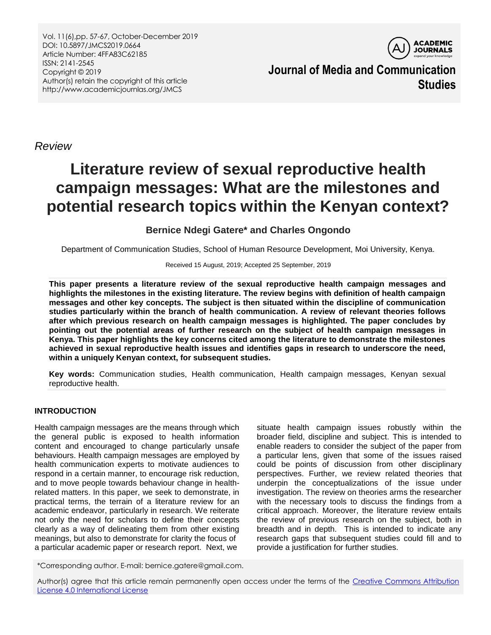Vol. 11(6),pp. 57-67, October-December 2019 DOI: 10.5897/JMCS2019.0664 Article Number: 4FFA83C62185 ISSN: 2141-2545 Copyright © 2019 Author(s) retain the copyright of this article http://www.academicjournlas.org/JMCS



**Journal of Media and Communication Studies**

*Review*

# **Literature review of sexual reproductive health campaign messages: What are the milestones and potential research topics within the Kenyan context?**

## **Bernice Ndegi Gatere\* and Charles Ongondo**

Department of Communication Studies, School of Human Resource Development, Moi University, Kenya.

Received 15 August, 2019; Accepted 25 September, 2019

**This paper presents a literature review of the sexual reproductive health campaign messages and highlights the milestones in the existing literature. The review begins with definition of health campaign messages and other key concepts. The subject is then situated within the discipline of communication studies particularly within the branch of health communication. A review of relevant theories follows after which previous research on health campaign messages is highlighted. The paper concludes by pointing out the potential areas of further research on the subject of health campaign messages in Kenya. This paper highlights the key concerns cited among the literature to demonstrate the milestones achieved in sexual reproductive health issues and identifies gaps in research to underscore the need, within a uniquely Kenyan context, for subsequent studies.**

**Key words:** Communication studies, Health communication, Health campaign messages, Kenyan sexual reproductive health.

### **INTRODUCTION**

Health campaign messages are the means through which the general public is exposed to health information content and encouraged to change particularly unsafe behaviours. Health campaign messages are employed by health communication experts to motivate audiences to respond in a certain manner, to encourage risk reduction, and to move people towards behaviour change in healthrelated matters. In this paper, we seek to demonstrate, in practical terms, the terrain of a literature review for an academic endeavor, particularly in research. We reiterate not only the need for scholars to define their concepts clearly as a way of delineating them from other existing meanings, but also to demonstrate for clarity the focus of a particular academic paper or research report. Next, we

situate health campaign issues robustly within the broader field, discipline and subject. This is intended to enable readers to consider the subject of the paper from a particular lens, given that some of the issues raised could be points of discussion from other disciplinary perspectives. Further, we review related theories that underpin the conceptualizations of the issue under investigation. The review on theories arms the researcher with the necessary tools to discuss the findings from a critical approach. Moreover, the literature review entails the review of previous research on the subject, both in breadth and in depth. This is intended to indicate any research gaps that subsequent studies could fill and to provide a justification for further studies.

\*Corresponding author. E-mail: bernice.gatere@gmail.com.

Author(s) agree that this article remain permanently open access under the terms of the Creative Commons Attribution [License 4.0 International License](http://creativecommons.org/licenses/by/4.0/deed.en_US)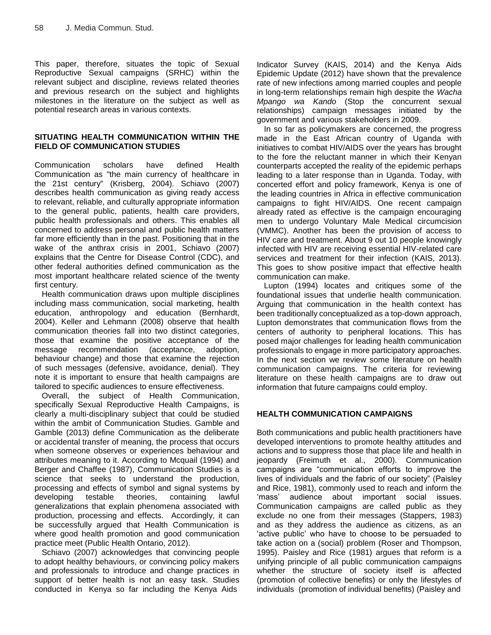This paper, therefore, situates the topic of Sexual Reproductive Sexual campaigns (SRHC) within the relevant subject and discipline, reviews related theories and previous research on the subject and highlights milestones in the literature on the subject as well as potential research areas in various contexts.

#### **SITUATING HEALTH COMMUNICATION WITHIN THE FIELD OF COMMUNICATION STUDIES**

Communication scholars have defined Health Communication as "the main currency of healthcare in the 21st century" (Krisberg, 2004). Schiavo (2007) describes health communication as giving ready access to relevant, reliable, and culturally appropriate information to the general public, patients, health care providers, public health professionals and others. This enables all concerned to address personal and public health matters far more efficiently than in the past. Positioning that in the wake of the anthrax crisis in 2001, Schiavo (2007) explains that the Centre for Disease Control (CDC), and other federal authorities defined communication as the most important healthcare related science of the twenty first century.

Health communication draws upon multiple disciplines including mass communication, social marketing, health education, anthropology and education (Bernhardt, 2004). Keller and Lehmann (2008) observe that health communication theories fall into two distinct categories, those that examine the positive acceptance of the message recommendation (acceptance, adoption, behaviour change) and those that examine the rejection of such messages (defensive, avoidance, denial). They note it is important to ensure that health campaigns are tailored to specific audiences to ensure effectiveness.

Overall, the subject of Health Communication, specifically Sexual Reproductive Health Campaigns, is clearly a multi-disciplinary subject that could be studied within the ambit of Communication Studies. Gamble and Gamble (2013) define Communication as the deliberate or accidental transfer of meaning, the process that occurs when someone observes or experiences behaviour and attributes meaning to it. According to Mcquail (1994) and Berger and Chaffee (1987), Communication Studies is a science that seeks to understand the production, processing and effects of symbol and signal systems by developing testable theories, containing lawful generalizations that explain phenomena associated with production, processing and effects. Accordingly, it can be successfully argued that Health Communication is where good health promotion and good communication practice meet (Public Health Ontario, 2012).

Schiavo (2007) acknowledges that convincing people to adopt healthy behaviours, or convincing policy makers and professionals to introduce and change practices in support of better health is not an easy task. Studies conducted in Kenya so far including the Kenya Aids

Indicator Survey (KAIS, 2014) and the Kenya Aids Epidemic Update (2012) have shown that the prevalence rate of new infections among married couples and people in long-term relationships remain high despite the *Wacha Mpango wa Kando* (Stop the concurrent sexual relationships) campaign messages initiated by the government and various stakeholders in 2009.

In so far as policymakers are concerned, the progress made in the East African country of Uganda with initiatives to combat HIV/AIDS over the years has brought to the fore the reluctant manner in which their Kenyan counterparts accepted the reality of the epidemic perhaps leading to a later response than in Uganda. Today, with concerted effort and policy framework, Kenya is one of the leading countries in Africa in effective communication campaigns to fight HIV/AIDS. One recent campaign already rated as effective is the campaign encouraging men to undergo Voluntary Male Medical circumcision (VMMC). Another has been the provision of access to HIV care and treatment. About 9 out 10 people knowingly infected with HIV are receiving essential HIV-related care services and treatment for their infection (KAIS, 2013). This goes to show positive impact that effective health communication can make.

Lupton (1994) locates and critiques some of the foundational issues that underlie health communication. Arguing that communication in the health context has been traditionally conceptualized as a top-down approach, Lupton demonstrates that communication flows from the centers of authority to peripheral locations. This has posed major challenges for leading health communication professionals to engage in more participatory approaches. In the next section we review some literature on health communication campaigns. The criteria for reviewing literature on these health campaigns are to draw out information that future campaigns could employ.

### **HEALTH COMMUNICATION CAMPAIGNS**

Both communications and public health practitioners have developed interventions to promote healthy attitudes and actions and to suppress those that place life and health in jeopardy (Freimuth et al., 2000). Communication campaigns are "communication efforts to improve the lives of individuals and the fabric of our society" (Paisley and Rice, 1981), commonly used to reach and inform the "mass" audience about important social issues. Communication campaigns are called public as they exclude no one from their messages (Stappers, 1983) and as they address the audience as citizens, as an "active public" who have to choose to be persuaded to take action on a (social) problem (Roser and Thompson, 1995). Paisley and Rice (1981) argues that reform is a unifying principle of all public communication campaigns whether the structure of society itself is affected (promotion of collective benefits) or only the lifestyles of individuals (promotion of individual benefits) (Paisley and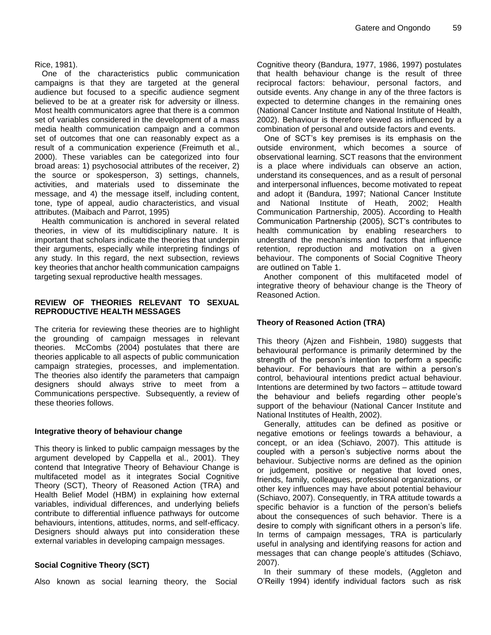Rice, 1981).

One of the characteristics public communication campaigns is that they are targeted at the general audience but focused to a specific audience segment believed to be at a greater risk for adversity or illness. Most health communicators agree that there is a common set of variables considered in the development of a mass media health communication campaign and a common set of outcomes that one can reasonably expect as a result of a communication experience (Freimuth et al., 2000). These variables can be categorized into four broad areas: 1) psychosocial attributes of the receiver, 2) the source or spokesperson, 3) settings, channels, activities, and materials used to disseminate the message, and 4) the message itself, including content, tone, type of appeal, audio characteristics, and visual attributes. (Maibach and Parrot, 1995)

Health communication is anchored in several related theories, in view of its multidisciplinary nature. It is important that scholars indicate the theories that underpin their arguments, especially while interpreting findings of any study. In this regard, the next subsection, reviews key theories that anchor health communication campaigns targeting sexual reproductive health messages.

#### **REVIEW OF THEORIES RELEVANT TO SEXUAL REPRODUCTIVE HEALTH MESSAGES**

The criteria for reviewing these theories are to highlight the grounding of campaign messages in relevant theories. McCombs (2004) postulates that there are theories applicable to all aspects of public communication campaign strategies, processes, and implementation. The theories also identify the parameters that campaign designers should always strive to meet from a Communications perspective. Subsequently, a review of these theories follows.

#### **Integrative theory of behaviour change**

This theory is linked to public campaign messages by the argument developed by Cappella et al., 2001). They contend that Integrative Theory of Behaviour Change is multifaceted model as it integrates Social Cognitive Theory (SCT), Theory of Reasoned Action (TRA) and Health Belief Model (HBM) in explaining how external variables, individual differences, and underlying beliefs contribute to differential influence pathways for outcome behaviours, intentions, attitudes, norms, and self-efficacy. Designers should always put into consideration these external variables in developing campaign messages.

### **Social Cognitive Theory (SCT)**

Also known as social learning theory, the Social

Cognitive theory (Bandura, 1977, 1986, 1997) postulates that health behaviour change is the result of three reciprocal factors: behaviour, personal factors, and outside events. Any change in any of the three factors is expected to determine changes in the remaining ones (National Cancer Institute and National Institute of Health, 2002). Behaviour is therefore viewed as influenced by a combination of personal and outside factors and events.

One of SCT"s key premises is its emphasis on the outside environment, which becomes a source of observational learning. SCT reasons that the environment is a place where individuals can observe an action, understand its consequences, and as a result of personal and interpersonal influences, become motivated to repeat and adopt it (Bandura, 1997; National Cancer Institute and National Institute of Heath, 2002; Health Communication Partnership, 2005). According to Health Communication Partnership (2005), SCT"s contributes to health communication by enabling researchers to understand the mechanisms and factors that influence retention, reproduction and motivation on a given behaviour. The components of Social Cognitive Theory are outlined on Table 1.

Another component of this multifaceted model of integrative theory of behaviour change is the Theory of Reasoned Action.

### **Theory of Reasoned Action (TRA)**

This theory (Ajzen and Fishbein, 1980) suggests that behavioural performance is primarily determined by the strength of the person's intention to perform a specific behaviour. For behaviours that are within a person's control, behavioural intentions predict actual behaviour. Intentions are determined by two factors – attitude toward the behaviour and beliefs regarding other people"s support of the behaviour (National Cancer Institute and National Institutes of Health, 2002).

Generally, attitudes can be defined as positive or negative emotions or feelings towards a behaviour, a concept, or an idea (Schiavo, 2007). This attitude is coupled with a person"s subjective norms about the behaviour. Subjective norms are defined as the opinion or judgement, positive or negative that loved ones, friends, family, colleagues, professional organizations, or other key influences may have about potential behaviour (Schiavo, 2007). Consequently, in TRA attitude towards a specific behavior is a function of the person's beliefs about the consequences of such behavior. There is a desire to comply with significant others in a person's life. In terms of campaign messages, TRA is particularly useful in analysing and identifying reasons for action and messages that can change people"s attitudes (Schiavo, 2007).

In their summary of these models, (Aggleton and O"Reilly 1994) identify individual factors such as risk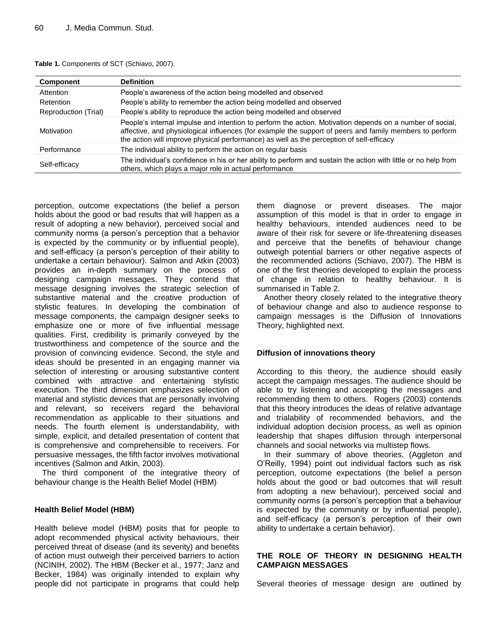| Table 1. Components of SCT (Schiavo, 2007). |  |  |  |
|---------------------------------------------|--|--|--|
|---------------------------------------------|--|--|--|

| <b>Component</b>     | <b>Definition</b>                                                                                                                                                                                                                                                                                               |
|----------------------|-----------------------------------------------------------------------------------------------------------------------------------------------------------------------------------------------------------------------------------------------------------------------------------------------------------------|
| Attention            | People's awareness of the action being modelled and observed                                                                                                                                                                                                                                                    |
| Retention            | People's ability to remember the action being modelled and observed                                                                                                                                                                                                                                             |
| Reproduction (Trial) | People's ability to reproduce the action being modelled and observed                                                                                                                                                                                                                                            |
| Motivation           | People's internal impulse and intention to perform the action. Motivation depends on a number of social,<br>affective, and physiological influences (for example the support of peers and family members to perform<br>the action will improve physical performance) as well as the perception of self-efficacy |
| Performance          | The individual ability to perform the action on regular basis                                                                                                                                                                                                                                                   |
| Self-efficacy        | The individual's confidence in his or her ability to perform and sustain the action with little or no help from<br>others, which plays a major role in actual performance                                                                                                                                       |

perception, outcome expectations (the belief a person holds about the good or bad results that will happen as a result of adopting a new behavior), perceived social and community norms (a person's perception that a behavior is expected by the community or by influential people), and self-efficacy (a person"s perception of their ability to undertake a certain behaviour). Salmon and Atkin (2003) provides an in-depth summary on the process of designing campaign messages. They contend that message designing involves the strategic selection of substantive material and the creative production of stylistic features. In developing the combination of message components, the campaign designer seeks to emphasize one or more of five influential message qualities. First, credibility is primarily conveyed by the trustworthiness and competence of the source and the provision of convincing evidence. Second, the style and ideas should be presented in an engaging manner via selection of interesting or arousing substantive content combined with attractive and entertaining stylistic execution. The third dimension emphasizes selection of material and stylistic devices that are personally involving and relevant, so receivers regard the behavioral recommendation as applicable to their situations and needs. The fourth element is understandability, with simple, explicit, and detailed presentation of content that is comprehensive and comprehensible to receivers. For persuasive messages, the fifth factor involves motivational incentives (Salmon and Atkin, 2003).

The third component of the integrative theory of behaviour change is the Health Belief Model (HBM)

#### **Health Belief Model (HBM)**

Health believe model (HBM) posits that for people to adopt recommended physical activity behaviours, their perceived threat of disease (and its severity) and benefits of action must outweigh their perceived barriers to action (NCINIH, 2002). The HBM (Becker et al., 1977; Janz and Becker, 1984) was originally intended to explain why people did not participate in programs that could help them diagnose or prevent diseases. The major assumption of this model is that in order to engage in healthy behaviours, intended audiences need to be aware of their risk for severe or life-threatening diseases and perceive that the benefits of behaviour change outweigh potential barriers or other negative aspects of the recommended actions (Schiavo, 2007). The HBM is one of the first theories developed to explain the process of change in relation to healthy behaviour. It is summarised in Table 2.

Another theory closely related to the integrative theory of behaviour change and also to audience response to campaign messages is the Diffusion of Innovations Theory, highlighted next.

#### **Diffusion of innovations theory**

According to this theory, the audience should easily accept the campaign messages. The audience should be able to try listening and accepting the messages and recommending them to others. Rogers (2003) contends that this theory introduces the ideas of relative advantage and trialability of recommended behaviors, and the individual adoption decision process, as well as opinion leadership that shapes diffusion through interpersonal channels and social networks via multistep flows.

In their summary of above theories, (Aggleton and O"Reilly, 1994) point out individual factors such as risk perception, outcome expectations (the belief a person holds about the good or bad outcomes that will result from adopting a new behaviour), perceived social and community norms (a person"s perception that a behaviour is expected by the community or by influential people), and self-efficacy (a person's perception of their own ability to undertake a certain behavior).

#### **THE ROLE OF THEORY IN DESIGNING HEALTH CAMPAIGN MESSAGES**

Several theories of message design are outlined by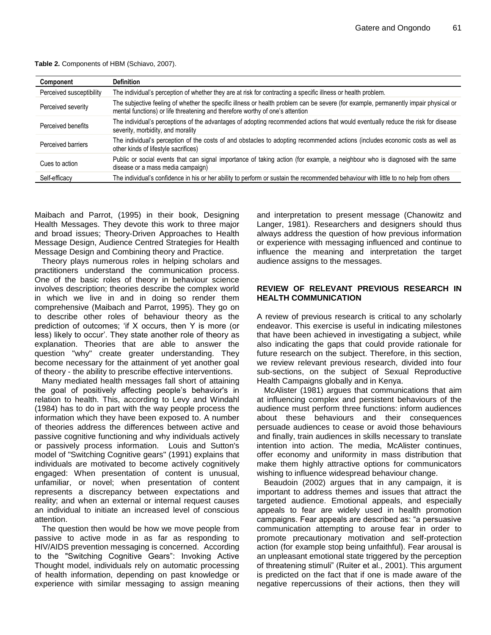**Table 2.** Components of HBM (Schiavo, 2007).

| Component                | <b>Definition</b>                                                                                                                                                                                                    |
|--------------------------|----------------------------------------------------------------------------------------------------------------------------------------------------------------------------------------------------------------------|
| Perceived susceptibility | The individual's perception of whether they are at risk for contracting a specific illness or health problem.                                                                                                        |
| Perceived severity       | The subjective feeling of whether the specific illness or health problem can be severe (for example, permanently impair physical or<br>mental functions) or life threatening and therefore worthy of one's attention |
| Perceived benefits       | The individual's perceptions of the advantages of adopting recommended actions that would eventually reduce the risk for disease<br>severity, morbidity, and morality                                                |
| Perceived barriers       | The individual's perception of the costs of and obstacles to adopting recommended actions (includes economic costs as well as<br>other kinds of lifestyle sacrifices)                                                |
| Cues to action           | Public or social events that can signal importance of taking action (for example, a neighbour who is diagnosed with the same<br>disease or a mass media campaign)                                                    |
| Self-efficacy            | The individual's confidence in his or her ability to perform or sustain the recommended behaviour with little to no help from others                                                                                 |

Maibach and Parrot, (1995) in their book, Designing Health Messages. They devote this work to three major and broad issues; Theory-Driven Approaches to Health Message Design, Audience Centred Strategies for Health Message Design and Combining theory and Practice.

Theory plays numerous roles in helping scholars and practitioners understand the communication process. One of the basic roles of theory in behaviour science involves description; theories describe the complex world in which we live in and in doing so render them comprehensive (Maibach and Parrot, 1995). They go on to describe other roles of behaviour theory as the prediction of outcomes; "if X occurs, then Y is more (or less) likely to occur". They state another role of theory as explanation. Theories that are able to answer the question "why" create greater understanding. They become necessary for the attainment of yet another goal of theory - the ability to prescribe effective interventions.

Many mediated health messages fall short of attaining the goal of positively affecting people"s behavior's in relation to health. This, according to Levy and Windahl (1984) has to do in part with the way people process the information which they have been exposed to. A number of theories address the differences between active and passive cognitive functioning and why individuals actively or passively process information. Louis and Sutton's model of "Switching Cognitive gears" (1991) explains that individuals are motivated to become actively cognitively engaged: When presentation of content is unusual, unfamiliar, or novel; when presentation of content represents a discrepancy between expectations and reality; and when an external or internal request causes an individual to initiate an increased level of conscious attention.

The question then would be how we move people from passive to active mode in as far as responding to HIV/AIDS prevention messaging is concerned. According to the "Switching Cognitive Gears": Invoking Active Thought model, individuals rely on automatic processing of health information, depending on past knowledge or experience with similar messaging to assign meaning and interpretation to present message (Chanowitz and Langer, 1981). Researchers and designers should thus always address the question of how previous information or experience with messaging influenced and continue to influence the meaning and interpretation the target audience assigns to the messages.

#### **REVIEW OF RELEVANT PREVIOUS RESEARCH IN HEALTH COMMUNICATION**

A review of previous research is critical to any scholarly endeavor. This exercise is useful in indicating milestones that have been achieved in investigating a subject, while also indicating the gaps that could provide rationale for future research on the subject. Therefore, in this section, we review relevant previous research, divided into four sub-sections, on the subject of Sexual Reproductive Health Campaigns globally and in Kenya.

McAlister (1981) argues that communications that aim at influencing complex and persistent behaviours of the audience must perform three functions: inform audiences about these behaviours and their consequences persuade audiences to cease or avoid those behaviours and finally, train audiences in skills necessary to translate intention into action. The media, McAlister continues, offer economy and uniformity in mass distribution that make them highly attractive options for communicators wishing to influence widespread behaviour change.

Beaudoin (2002) argues that in any campaign, it is important to address themes and issues that attract the targeted audience. Emotional appeals, and especially appeals to fear are widely used in health promotion campaigns. Fear appeals are described as: "a persuasive communication attempting to arouse fear in order to promote precautionary motivation and self-protection action (for example stop being unfaithful). Fear arousal is an unpleasant emotional state triggered by the perception of threatening stimuli" (Ruiter et al., 2001). This argument is predicted on the fact that if one is made aware of the negative repercussions of their actions, then they will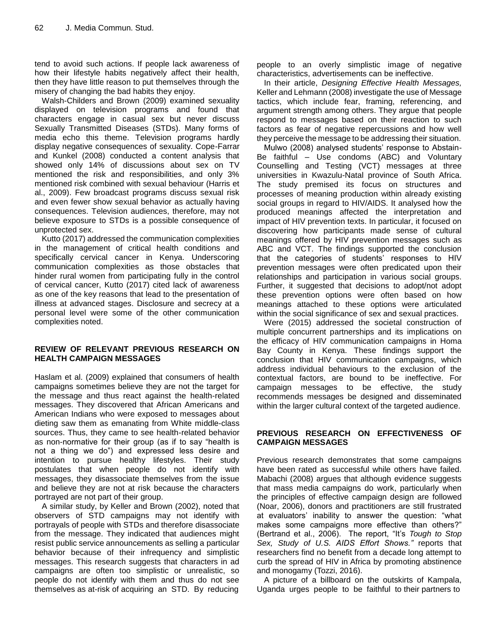tend to avoid such actions. If people lack awareness of how their lifestyle habits negatively affect their health, then they have little reason to put themselves through the misery of changing the bad habits they enjoy.

Walsh-Childers and Brown (2009) examined sexuality displayed on television programs and found that characters engage in casual sex but never discuss Sexually Transmitted Diseases (STDs). Many forms of media echo this theme. Television programs hardly display negative consequences of sexuality. Cope-Farrar and Kunkel (2008) conducted a content analysis that showed only 14% of discussions about sex on TV mentioned the risk and responsibilities, and only 3% mentioned risk combined with sexual behaviour (Harris et al., 2009). Few broadcast programs discuss sexual risk and even fewer show sexual behavior as actually having consequences. Television audiences, therefore, may not believe exposure to STDs is a possible consequence of unprotected sex.

Kutto (2017) addressed the communication complexities in the management of critical health conditions and specifically cervical cancer in Kenya. Underscoring communication complexities as those obstacles that hinder rural women from participating fully in the control of cervical cancer, Kutto (2017) cited lack of awareness as one of the key reasons that lead to the presentation of illness at advanced stages. Disclosure and secrecy at a personal level were some of the other communication complexities noted.

#### **REVIEW OF RELEVANT PREVIOUS RESEARCH ON HEALTH CAMPAIGN MESSAGES**

Haslam et al. (2009) explained that consumers of health campaigns sometimes believe they are not the target for the message and thus react against the health-related messages. They discovered that African Americans and American Indians who were exposed to messages about dieting saw them as emanating from White middle-class sources. Thus, they came to see health-related behavior as non-normative for their group (as if to say "health is not a thing we do") and expressed less desire and intention to pursue healthy lifestyles. Their study postulates that when people do not identify with messages, they disassociate themselves from the issue and believe they are not at risk because the characters portrayed are not part of their group.

A similar study, by Keller and Brown (2002), noted that observers of STD campaigns may not identify with portrayals of people with STDs and therefore disassociate from the message. They indicated that audiences might resist public service announcements as selling a particular behavior because of their infrequency and simplistic messages. This research suggests that characters in ad campaigns are often too simplistic or unrealistic, so people do not identify with them and thus do not see themselves as at-risk of acquiring an STD. By reducing

people to an overly simplistic image of negative characteristics, advertisements can be ineffective.

In their article, *Designing Effective Health Messages,*  Keller and Lehmann (2008) investigate the use of Message tactics, which include fear, framing, referencing, and argument strength among others. They argue that people respond to messages based on their reaction to such factors as fear of negative repercussions and how well they perceive the message to be addressing their situation.

Mulwo (2008) analysed students' response to Abstain-Be faithful – Use condoms (ABC) and Voluntary Counselling and Testing (VCT) messages at three universities in Kwazulu-Natal province of South Africa. The study premised its focus on structures and processes of meaning production within already existing social groups in regard to HIV/AIDS. It analysed how the produced meanings affected the interpretation and impact of HIV prevention texts. In particular, it focused on discovering how participants made sense of cultural meanings offered by HIV prevention messages such as ABC and VCT. The findings supported the conclusion that the categories of students' responses to HIV prevention messages were often predicated upon their relationships and participation in various social groups. Further, it suggested that decisions to adopt/not adopt these prevention options were often based on how meanings attached to these options were articulated within the social significance of sex and sexual practices.

Were (2015) addressed the societal construction of multiple concurrent partnerships and its implications on the efficacy of HIV communication campaigns in Homa Bay County in Kenya. These findings support the conclusion that HIV communication campaigns, which address individual behaviours to the exclusion of the contextual factors, are bound to be ineffective. For campaign messages to be effective, the study recommends messages be designed and disseminated within the larger cultural context of the targeted audience.

#### **PREVIOUS RESEARCH ON EFFECTIVENESS OF CAMPAIGN MESSAGES**

Previous research demonstrates that some campaigns have been rated as successful while others have failed. Mabachi (2008) argues that although evidence suggests that mass media campaigns do work, particularly when the principles of effective campaign design are followed (Noar, 2006), donors and practitioners are still frustrated at evaluators' inability to answer the question: "what makes some campaigns more effective than others?" (Bertrand et al., 2006). The report, "It"s *Tough to Stop Sex, Study of U.S. AIDS Effort Shows."* reports that researchers find no benefit from a decade long attempt to curb the spread of HIV in Africa by promoting abstinence and monogamy (Tozzi, 2016).

A picture of a billboard on the outskirts of Kampala, Uganda urges people to be faithful to their partners to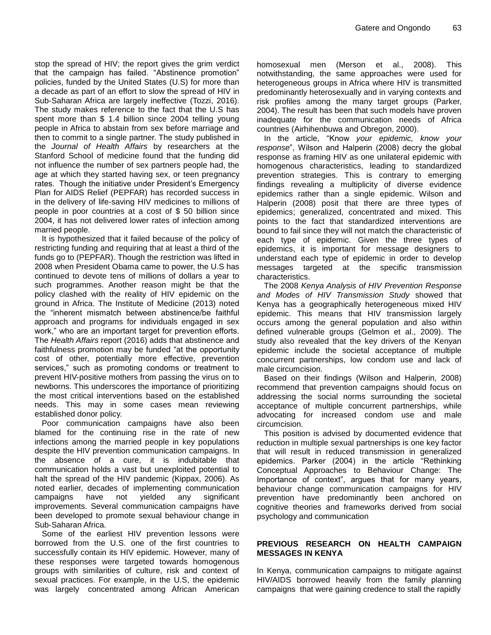stop the spread of HIV; the report gives the grim verdict that the campaign has failed. "Abstinence promotion" policies, funded by the United States (U.S) for more than a decade as part of an effort to slow the spread of HIV in Sub-Saharan Africa are largely ineffective (Tozzi, 2016). The study makes reference to the fact that the U.S has spent more than \$ 1.4 billion since 2004 telling young people in Africa to abstain from sex before marriage and then to commit to a single partner. The study published in the *Journal of Health Affairs* by researchers at the Stanford School of medicine found that the funding did not influence the number of sex partners people had, the age at which they started having sex, or teen pregnancy rates. Though the initiative under President's Emergency Plan for AIDS Relief (PEPFAR) has recorded success in in the delivery of life-saving HIV medicines to millions of people in poor countries at a cost of \$ 50 billion since 2004, it has not delivered lower rates of infection among married people.

It is hypothesized that it failed because of the policy of restricting funding and requiring that at least a third of the funds go to (PEPFAR). Though the restriction was lifted in 2008 when President Obama came to power, the U.S has continued to devote tens of millions of dollars a year to such programmes. Another reason might be that the policy clashed with the reality of HIV epidemic on the ground in Africa. The Institute of Medicine (2013) noted the "inherent mismatch between abstinence/be faithful approach and programs for individuals engaged in sex work," who are an important target for prevention efforts. The *Health Affairs* report (2016) adds that abstinence and faithfulness promotion may be funded "at the opportunity cost of other, potentially more effective, prevention services," such as promoting condoms or treatment to prevent HIV-positive mothers from passing the virus on to newborns. This underscores the importance of prioritizing the most critical interventions based on the established needs. This may in some cases mean reviewing established donor policy.

Poor communication campaigns have also been blamed for the continuing rise in the rate of new infections among the married people in key populations despite the HIV prevention communication campaigns. In the absence of a cure, it is indubitable that communication holds a vast but unexploited potential to halt the spread of the HIV pandemic (Kippax, 2006). As noted earlier, decades of implementing communication campaigns have not yielded any significant improvements. Several communication campaigns have been developed to promote sexual behaviour change in Sub-Saharan Africa.

Some of the earliest HIV prevention lessons were borrowed from the U.S. one of the first countries to successfully contain its HIV epidemic. However, many of these responses were targeted towards homogenous groups with similarities of culture, risk and context of sexual practices. For example, in the U.S, the epidemic was largely concentrated among African American homosexual men (Merson et al., 2008). This notwithstanding, the same approaches were used for heterogeneous groups in Africa where HIV is transmitted predominantly heterosexually and in varying contexts and risk profiles among the many target groups (Parker, 2004). The result has been that such models have proven inadequate for the communication needs of Africa countries (Airhihenbuwa and Obregon, 2000).

In the article, "Know *your epidemic, know your response*", Wilson and Halperin (2008) decry the global response as framing HIV as one unilateral epidemic with homogenous characteristics, leading to standardized prevention strategies. This is contrary to emerging findings revealing a multiplicity of diverse evidence epidemics rather than a single epidemic. Wilson and Halperin (2008) posit that there are three types of epidemics; generalized, concentrated and mixed. This points to the fact that standardized interventions are bound to fail since they will not match the characteristic of each type of epidemic. Given the three types of epidemics, it is important for message designers to understand each type of epidemic in order to develop messages targeted at the specific transmission characteristics.

The 2008 *Kenya Analysis of HIV Prevention Response and Modes of HIV Transmission Study* showed that Kenya has a geographically heterogeneous mixed HIV epidemic. This means that HIV transmission largely occurs among the general population and also within defined vulnerable groups (Gelmon et al., 2009). The study also revealed that the key drivers of the Kenyan epidemic include the societal acceptance of multiple concurrent partnerships, low condom use and lack of male circumcision.

Based on their findings (Wilson and Halperin, 2008) recommend that prevention campaigns should focus on addressing the social norms surrounding the societal acceptance of multiple concurrent partnerships, while advocating for increased condom use and male circumcision.

This position is advised by documented evidence that reduction in multiple sexual partnerships is one key factor that will result in reduced transmission in generalized epidemics. Parker (2004) in the article "Rethinking Conceptual Approaches to Behaviour Change: The Importance of context", argues that for many years, behaviour change communication campaigns for HIV prevention have predominantly been anchored on cognitive theories and frameworks derived from social psychology and communication

#### **PREVIOUS RESEARCH ON HEALTH CAMPAIGN MESSAGES IN KENYA**

In Kenya, communication campaigns to mitigate against HIV/AIDS borrowed heavily from the family planning campaigns that were gaining credence to stall the rapidly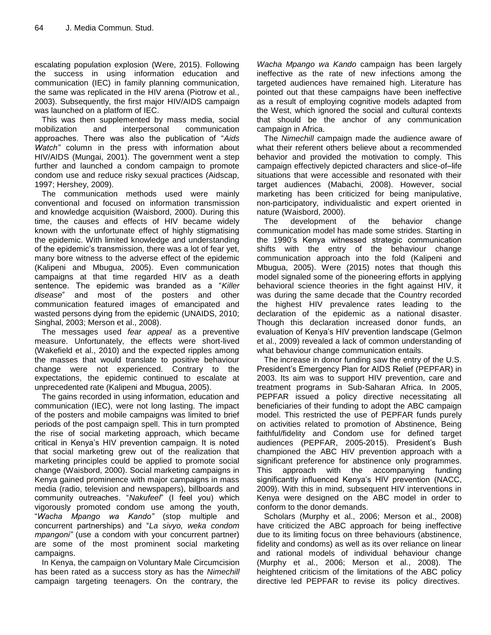escalating population explosion (Were, 2015). Following the success in using information education and communication (IEC) in family planning communication, the same was replicated in the HIV arena (Piotrow et al., 2003). Subsequently, the first major HIV/AIDS campaign was launched on a platform of IEC.

This was then supplemented by mass media, social mobilization and interpersonal communication approaches. There was also the publication of "*Aids Watch"* column in the press with information about HIV/AIDS (Mungai, 2001). The government went a step further and launched a condom campaign to promote condom use and reduce risky sexual practices (Aidscap, 1997; Hershey, 2009).

The communication methods used were mainly conventional and focused on information transmission and knowledge acquisition (Waisbord, 2000). During this time, the causes and effects of HIV became widely known with the unfortunate effect of highly stigmatising the epidemic. With limited knowledge and understanding of the epidemic"s transmission, there was a lot of fear yet, many bore witness to the adverse effect of the epidemic (Kalipeni and Mbugua, 2005). Even communication campaigns at that time regarded HIV as a death sentence. The epidemic was branded as a "*Killer disease*" and most of the posters and other communication featured images of emancipated and wasted persons dying from the epidemic (UNAIDS, 2010; Singhal, 2003; Merson et al., 2008).

The messages used *fear appeal* as a preventive measure. Unfortunately, the effects were short-lived (Wakefield et al., 2010) and the expected ripples among the masses that would translate to positive behaviour change were not experienced. Contrary to the expectations, the epidemic continued to escalate at unprecedented rate (Kalipeni and Mbugua, 2005).

The gains recorded in using information, education and communication (IEC), were not long lasting. The impact of the posters and mobile campaigns was limited to brief periods of the post campaign spell. This in turn prompted the rise of social marketing approach, which became critical in Kenya"s HIV prevention campaign. It is noted that social marketing grew out of the realization that marketing principles could be applied to promote social change (Waisbord, 2000). Social marketing campaigns in Kenya gained prominence with major campaigns in mass media (radio, television and newspapers), billboards and community outreaches. "*Nakufeel*" (I feel you) which vigorously promoted condom use among the youth, "*Wacha Mpango wa Kando"* (stop multiple and concurrent partnerships) and "*La sivyo, weka condom mpangoni"* (use a condom with your concurrent partner) are some of the most prominent social marketing campaigns.

In Kenya, the campaign on Voluntary Male Circumcision has been rated as a success story as has the *Nimechill*  campaign targeting teenagers. On the contrary, the

*Wacha Mpango wa Kando* campaign has been largely ineffective as the rate of new infections among the targeted audiences have remained high. Literature has pointed out that these campaigns have been ineffective as a result of employing cognitive models adapted from the West, which ignored the social and cultural contexts that should be the anchor of any communication campaign in Africa.

The *Nimechill* campaign made the audience aware of what their referent others believe about a recommended behavior and provided the motivation to comply. This campaign effectively depicted characters and slice-of–life situations that were accessible and resonated with their target audiences (Mabachi, 2008). However, social marketing has been criticized for being manipulative, non-participatory, individualistic and expert oriented in nature (Waisbord, 2000).

The development of the behavior change communication model has made some strides. Starting in the 1990"s Kenya witnessed strategic communication shifts with the entry of the behaviour change communication approach into the fold (Kalipeni and Mbugua, 2005). Were (2015) notes that though this model signaled some of the pioneering efforts in applying behavioral science theories in the fight against HIV, it was during the same decade that the Country recorded the highest HIV prevalence rates leading to the declaration of the epidemic as a national disaster. Though this declaration increased donor funds, an evaluation of Kenya"s HIV prevention landscape (Gelmon et al., 2009) revealed a lack of common understanding of what behaviour change communication entails.

The increase in donor funding saw the entry of the U.S. President"s Emergency Plan for AIDS Relief (PEPFAR) in 2003. Its aim was to support HIV prevention, care and treatment programs in Sub-Saharan Africa. In 2005, PEPFAR issued a policy directive necessitating all beneficiaries of their funding to adopt the ABC campaign model. This restricted the use of PEPFAR funds purely on activities related to promotion of Abstinence, Being faithful/fidelity and Condom use for defined target audiences (PEPFAR, 2005-2015). President's Bush championed the ABC HIV prevention approach with a significant preference for abstinence only programmes. This approach with the accompanying funding significantly influenced Kenya's HIV prevention (NACC, 2009). With this in mind, subsequent HIV interventions in Kenya were designed on the ABC model in order to conform to the donor demands.

Scholars (Murphy et al., 2006; Merson et al., 2008) have criticized the ABC approach for being ineffective due to its limiting focus on three behaviours (abstinence, fidelity and condoms) as well as its over reliance on linear and rational models of individual behaviour change (Murphy et al., 2006; Merson et al., 2008). The heightened criticism of the limitations of the ABC policy directive led PEPFAR to revise its policy directives.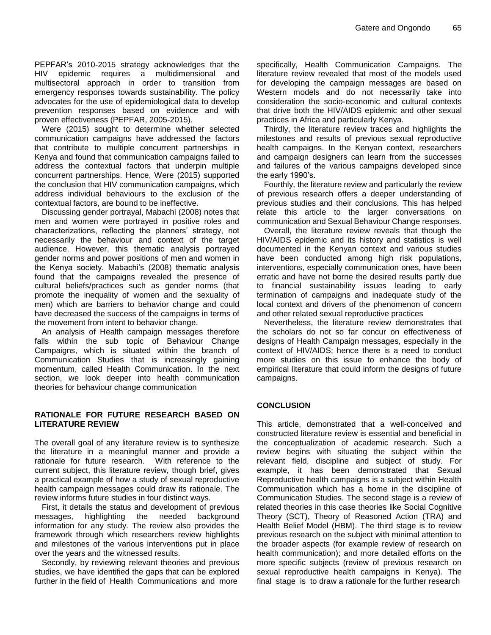PEPFAR"s 2010-2015 strategy acknowledges that the HIV epidemic requires a multidimensional and multisectoral approach in order to transition from emergency responses towards sustainability. The policy advocates for the use of epidemiological data to develop prevention responses based on evidence and with proven effectiveness (PEPFAR, 2005-2015).

Were (2015) sought to determine whether selected communication campaigns have addressed the factors that contribute to multiple concurrent partnerships in Kenya and found that communication campaigns failed to address the contextual factors that underpin multiple concurrent partnerships. Hence, Were (2015) supported the conclusion that HIV communication campaigns, which address individual behaviours to the exclusion of the contextual factors, are bound to be ineffective.

Discussing gender portrayal, Mabachi (2008) notes that men and women were portrayed in positive roles and characterizations, reflecting the planners" strategy, not necessarily the behaviour and context of the target audience. However, this thematic analysis portrayed gender norms and power positions of men and women in the Kenya society. Mabachi"s (2008) thematic analysis found that the campaigns revealed the presence of cultural beliefs/practices such as gender norms (that promote the inequality of women and the sexuality of men) which are barriers to behavior change and could have decreased the success of the campaigns in terms of the movement from intent to behavior change.

An analysis of Health campaign messages therefore falls within the sub topic of Behaviour Change Campaigns, which is situated within the branch of Communication Studies that is increasingly gaining momentum, called Health Communication. In the next section, we look deeper into health communication theories for behaviour change communication

#### **RATIONALE FOR FUTURE RESEARCH BASED ON LITERATURE REVIEW**

The overall goal of any literature review is to synthesize the literature in a meaningful manner and provide a rationale for future research. With reference to the current subject, this literature review, though brief, gives a practical example of how a study of sexual reproductive health campaign messages could draw its rationale. The review informs future studies in four distinct ways.

First, it details the status and development of previous messages, highlighting the needed background information for any study. The review also provides the framework through which researchers review highlights and milestones of the various interventions put in place over the years and the witnessed results.

Secondly, by reviewing relevant theories and previous studies, we have identified the gaps that can be explored further in the field of Health Communications and more

specifically, Health Communication Campaigns. The literature review revealed that most of the models used for developing the campaign messages are based on Western models and do not necessarily take into consideration the socio-economic and cultural contexts that drive both the HIV/AIDS epidemic and other sexual practices in Africa and particularly Kenya.

Thirdly, the literature review traces and highlights the milestones and results of previous sexual reproductive health campaigns. In the Kenyan context, researchers and campaign designers can learn from the successes and failures of the various campaigns developed since the early 1990's.

Fourthly, the literature review and particularly the review of previous research offers a deeper understanding of previous studies and their conclusions. This has helped relate this article to the larger conversations on communication and Sexual Behaviour Change responses.

Overall, the literature review reveals that though the HIV/AIDS epidemic and its history and statistics is well documented in the Kenyan context and various studies have been conducted among high risk populations, interventions, especially communication ones, have been erratic and have not borne the desired results partly due to financial sustainability issues leading to early termination of campaigns and inadequate study of the local context and drivers of the phenomenon of concern and other related sexual reproductive practices

Nevertheless, the literature review demonstrates that the scholars do not so far concur on effectiveness of designs of Health Campaign messages, especially in the context of HIV/AIDS; hence there is a need to conduct more studies on this issue to enhance the body of empirical literature that could inform the designs of future campaigns.

#### **CONCLUSION**

This article, demonstrated that a well-conceived and constructed literature review is essential and beneficial in the conceptualization of academic research. Such a review begins with situating the subject within the relevant field, discipline and subject of study. For example, it has been demonstrated that Sexual Reproductive health campaigns is a subject within Health Communication which has a home in the discipline of Communication Studies. The second stage is a review of related theories in this case theories like Social Cognitive Theory (SCT), Theory of Reasoned Action (TRA) and Health Belief Model (HBM). The third stage is to review previous research on the subject with minimal attention to the broader aspects (for example review of research on health communication); and more detailed efforts on the more specific subjects (review of previous research on sexual reproductive health campaigns in Kenya). The final stage is to draw a rationale for the further research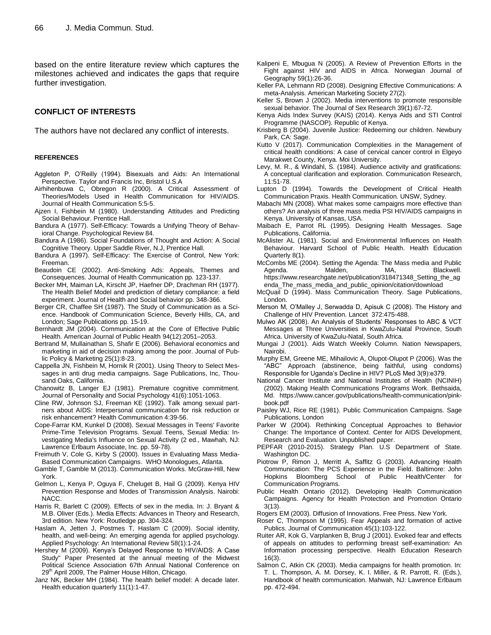based on the entire literature review which captures the milestones achieved and indicates the gaps that require further investigation.

#### **CONFLICT OF INTERESTS**

The authors have not declared any conflict of interests.

#### **REFERENCES**

- Aggleton P, O"Reilly (1994). Bisexuals and Aids: An International Perspective. Taylor and Francis Inc, Bristol U.S.A
- Airhihenbuwa C, Obregon R (2000). A Critical Assessment of Theories/Models Used in Health Communication for HIV/AIDS. Journal of Health Communication 5:5-5.
- Ajzen I, Fishbein M (1980). Understanding Attitudes and Predicting Social Behaviour. Prentice Hall.
- Bandura A (1977). Self-Efficacy: Towards a Unifying Theory of Behavioral Change. Psychological Review 84.
- Bandura A (1986). Social Foundations of Thought and Action: A Social Cognitive Theory. Upper Saddle River, N.J, Prentice Hall.
- Bandura A (1997). Self-Efficacy: The Exercise of Control, New York: Freeman.
- Beaudoin CE (2002). Anti-Smoking Ads: Appeals, Themes and Consequences. Journal of Health Communication pp. 123-137.
- Becker MH, Maiman LA, Kirscht JP, Haefner DP, Drachman RH (1977). The Health Belief Model and prediction of dietary compliance: a field experiment. Journal of Health and Social behavior pp. 348-366.
- Berger CR, Chaffee SH (1987). The Study of Communication as a Science. Handbook of Communication Science, Beverly Hills, CA, and London; Sage Publications pp. 15-19.
- Bernhardt JM (2004). Communication at the Core of Effective Public Health. American Journal of Public Health 94(12):2051–2053.
- Bertrand M, Mullainathan S, Shafir E (2006). Behavioral economics and marketing in aid of decision making among the poor. Journal of Public Policy & Marketing 25(1):8-23.
- Cappella JN, Fishbein M, Hornik R (2001). Using Theory to Select Messages in anti drug media campaigns. Sage Publications, Inc, Thousand Oaks, California.
- Chanowitz B, Langer EJ (1981). Premature cognitive commitment. Journal of Personality and Social Psychology 41(6):1051-1063.
- Cline RW, Johnson SJ, Freeman KE (1992). Talk among sexual partners about AIDS: Interpersonal communication for risk reduction or risk enhancement? Health Communication 4:39-56.
- Cope-Farrar KM, Kunkel D (2008). Sexual Messages in Teens' Favorite Prime-Time Television Programs. Sexual Teens, Sexual Media: Investigating Media's Influence on Sexual Activity (2 ed., Mawhah, NJ: Lawrence Erlbaum Associate, Inc. pp. 59-78).
- Freimuth V, Cole G, Kirby S (2000). Issues in Evaluating Mass Media-Based Communication Campaigns. WHO Monologues, Atlanta.
- Gamble T, Gamble M (2013). Communication Works. McGraw-Hill, New York.
- Gelmon L, Kenya P, Oguya F, Cheluget B, Hail G (2009). Kenya HIV Prevention Response and Modes of Transmission Analysis. Nairobi: NACC.
- Harris R, Barlett C (2009). Effects of sex in the media. In: J. Bryant & M.B. Oliver (Eds.). Media Effects: Advances in Theory and Research, 3rd edition. New York: Routledge pp. 304-324.
- Haslam A, Jetten J, Postmes T, Haslam C (2009). Social identity, health, and well-being: An emerging agenda for applied psychology. Applied Psychology: An International Review 58(1):1-24.
- Hershey M (2009). Kenya"s Delayed Response to HIV/AIDS: A Case Study" Paper Presented at the annual meeting of the Midwest Political Science Association 67th Annual National Conference on 29<sup>th</sup> April 2009, The Palmer House Hilton, Chicago.
- Janz NK, Becker MH (1984). The health belief model: A decade later. Health education quarterly 11(1):1-47.
- Kalipeni E, Mbugua N (2005). A Review of Prevention Efforts in the Fight against HIV and AIDS in Africa. Norwegian Journal of Geography 59(1):26-36.
- Keller PA, Lehmann RD (2008). Designing Effective Communications: A meta-Analysis. American Marketing Society 27(2).
- Keller S, Brown J (2002). Media interventions to promote responsible sexual behavior. The Journal of Sex Research 39(1):67-72.
- Kenya Aids Index Survey (KAIS) (2014). Kenya Aids and STI Control Programme (NASCOP). Republic of Kenya.
- Krisberg B (2004). Juvenile Justice: Redeeming our children. Newbury Park, CA: Sage.
- Kutto V (2017). Communication Complexities in the Management of critical health conditions: A case of cervical cancer control in Elgeyo Marakwet County, Kenya. Moi University.
- Levy, M. R., & Windahl, S. (1984). Audience activity and gratifications: A conceptual clarification and exploration. Communication Research, 11:51-78.
- Lupton D (1994). Towards the Development of Critical Health Communication Praxis. Health Communication. UNSW, Sydney.
- Mabachi MN (2008). What makes some campaigns more effective than others? An analysis of three mass media PSI HIV/AIDS campaigns in Kenya. University of Kansas, USA.
- Maibach E, Parrot RL (1995). Designing Health Messages. Sage Publications, California.
- McAlister AL (1981). Social and Environmental Influences on Health Behaviour. Harvard School of Public Health. Health Education Quarterly 8(1).
- McCombs ME (2004). Setting the Agenda: The Mass media and Public Agenda. Malden, MA, Blackwell. https://www.researchgate.net/publication/318471348\_Setting\_the\_ag enda\_The\_mass\_media\_and\_public\_opinion/citation/download
- McQuail D (1994). Mass Communication Theory. Sage Publications, London.
- Merson M, O"Malley J, Serwadda D, Apisuk C (2008). The History and Challenge of HIV Prevention. Lancet 372:475-488.
- Mulwo AK (2008). An Analysis of Students" Responses to ABC & VCT Messages at Three Universities in KwaZulu-Natal Province, South Africa. University of KwaZulu-Natal, South Africa.
- Mungai J (2001). Aids Watch Weekly Column. Nation Newspapers, Nairobi.
- Murphy EM, Greene ME, Mihailovic A, Olupot-Olupot P (2006). Was the "ABC" Approach (abstinence, being faithful, using condoms) Responsible for Uganda"s Decline in HIV? PLoS Med 3(9):e379.
- National Cancer Institute and National Institutes of Health (NCINIH) (2002). Making Health Communications Programs Work. Bethsaida, Md. https://www.cancer.gov/publications/health-communication/pinkbook.pdf
- Paisley WJ, Rice RE (1981). Public Communication Campaigns. Sage Publications, London
- Parker W (2004). Rethinking Conceptual Approaches to Behavior Change: The Importance of Context. Center for AIDS Development, Research and Evaluation. Unpublished paper.
- PEPFAR (2010-2015). Strategy Plan. U.S Department of State. Washington DC.
- Piotrow P, Rimon J, Merritt A, Saffitz G (2003). Advancing Health Communication: The PCS Experience in the Field. Baltimore: John Hopkins Bloomberg School of Public Health/Center for Communication Programs.
- Public Health Ontario (2012). Developing Health Communication Campaigns. Agency for Health Protection and Promotion Ontario 3(13).
- Rogers EM (2003). Diffusion of Innovations. Free Press. New York.
- Roser C, Thompson M (1995). Fear Appeals and formation of active Publics. Journal of Communication 45(1):103-122.
- Ruiter AR, Kok G, Varplanken B, Brug J (2001). Evoked fear and effects of appeals on attitudes to performing breast self-examination: An Information processing perspective. Health Education Research 16(3).
- Salmon C, Atkin CK (2003). Media campaigns for health promotion. In: T. L. Thompson, A. M. Dorsey, K. I. Miller, & R. Parrott, R. (Eds.), Handbook of health communication. Mahwah, NJ: Lawrence Erlbaum pp. 472-494.